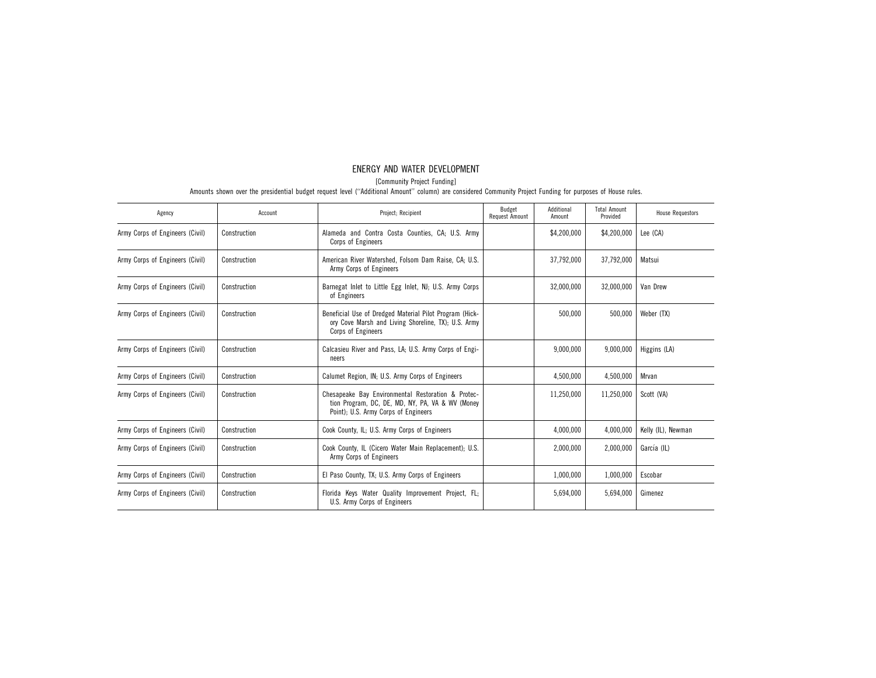# ENERGY AND WATER DEVELOPMENT

[Community Project Funding]

| Agency                          | Account      | Project; Recipient                                                                                                                             | Budget<br>Request Amount | Additional<br>Amount | <b>Total Amount</b><br>Provided | <b>House Requestors</b> |
|---------------------------------|--------------|------------------------------------------------------------------------------------------------------------------------------------------------|--------------------------|----------------------|---------------------------------|-------------------------|
| Army Corps of Engineers (Civil) | Construction | Alameda and Contra Costa Counties, CA; U.S. Army<br>Corps of Engineers                                                                         |                          | \$4,200,000          | \$4,200,000                     | Lee (CA)                |
| Army Corps of Engineers (Civil) | Construction | American River Watershed, Folsom Dam Raise, CA; U.S.<br>Army Corps of Engineers                                                                |                          | 37,792,000           | 37,792,000                      | Matsui                  |
| Army Corps of Engineers (Civil) | Construction | Barnegat Inlet to Little Egg Inlet, NJ; U.S. Army Corps<br>of Engineers                                                                        |                          | 32,000,000           | 32,000,000                      | Van Drew                |
| Army Corps of Engineers (Civil) | Construction | Beneficial Use of Dredged Material Pilot Program (Hick-<br>ory Cove Marsh and Living Shoreline, TX); U.S. Army<br>Corps of Engineers           |                          | 500.000              | 500,000                         | Weber (TX)              |
| Army Corps of Engineers (Civil) | Construction | Calcasieu River and Pass, LA; U.S. Army Corps of Engi-<br>neers                                                                                |                          | 9,000,000            | 9,000,000                       | Higgins (LA)            |
| Army Corps of Engineers (Civil) | Construction | Calumet Region, IN; U.S. Army Corps of Engineers                                                                                               |                          | 4,500,000            | 4,500,000                       | Mrvan                   |
| Army Corps of Engineers (Civil) | Construction | Chesapeake Bay Environmental Restoration & Protec-<br>tion Program, DC, DE, MD, NY, PA, VA & WV (Money<br>Point); U.S. Army Corps of Engineers |                          | 11,250,000           | 11,250,000                      | Scott (VA)              |
| Army Corps of Engineers (Civil) | Construction | Cook County, IL; U.S. Army Corps of Engineers                                                                                                  |                          | 4.000.000            | 4,000,000                       | Kelly (IL), Newman      |
| Army Corps of Engineers (Civil) | Construction | Cook County, IL (Cicero Water Main Replacement); U.S.<br>Army Corps of Engineers                                                               |                          | 2,000,000            | 2,000,000                       | García (IL)             |
| Army Corps of Engineers (Civil) | Construction | El Paso County, TX; U.S. Army Corps of Engineers                                                                                               |                          | 1,000,000            | 1,000,000                       | Escobar                 |
| Army Corps of Engineers (Civil) | Construction | Florida Keys Water Quality Improvement Project, FL;<br>U.S. Army Corps of Engineers                                                            |                          | 5,694,000            | 5,694,000                       | Gimenez                 |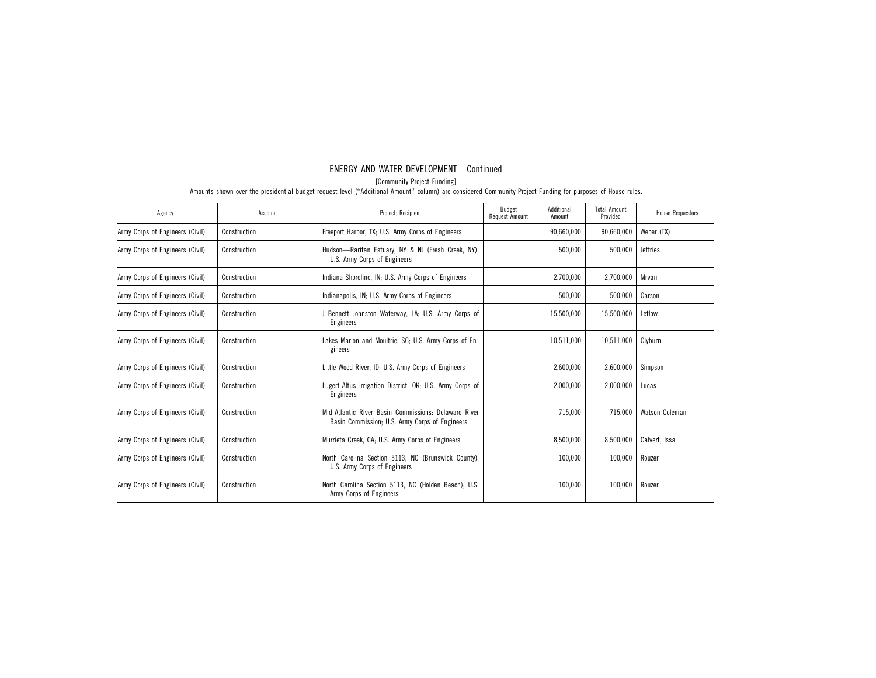[Community Project Funding]

| Agency                          | Account      | Project; Recipient                                                                                     | Budget<br>Request Amount | Additional<br>Amount | <b>Total Amount</b><br>Provided | <b>House Requestors</b> |
|---------------------------------|--------------|--------------------------------------------------------------------------------------------------------|--------------------------|----------------------|---------------------------------|-------------------------|
| Army Corps of Engineers (Civil) | Construction | Freeport Harbor, TX; U.S. Army Corps of Engineers                                                      |                          | 90,660,000           | 90,660,000                      | Weber (TX)              |
| Army Corps of Engineers (Civil) | Construction | Hudson-Raritan Estuary, NY & NJ (Fresh Creek, NY);<br>U.S. Army Corps of Engineers                     |                          | 500,000              | 500,000                         | <b>Jeffries</b>         |
| Army Corps of Engineers (Civil) | Construction | Indiana Shoreline, IN; U.S. Army Corps of Engineers                                                    |                          | 2,700,000            | 2,700,000                       | Mrvan                   |
| Army Corps of Engineers (Civil) | Construction | Indianapolis, IN; U.S. Army Corps of Engineers                                                         |                          | 500.000              | 500,000                         | Carson                  |
| Army Corps of Engineers (Civil) | Construction | J Bennett Johnston Waterway, LA; U.S. Army Corps of<br>Engineers                                       |                          | 15,500,000           | 15,500,000                      | Letlow                  |
| Army Corps of Engineers (Civil) | Construction | Lakes Marion and Moultrie, SC; U.S. Army Corps of En-<br>gineers                                       |                          | 10,511,000           | 10.511.000                      | Clyburn                 |
| Army Corps of Engineers (Civil) | Construction | Little Wood River, ID; U.S. Army Corps of Engineers                                                    |                          | 2,600,000            | 2,600,000                       | Simpson                 |
| Army Corps of Engineers (Civil) | Construction | Lugert-Altus Irrigation District, OK, U.S. Army Corps of<br>Engineers                                  |                          | 2,000,000            | 2,000,000                       | Lucas                   |
| Army Corps of Engineers (Civil) | Construction | Mid-Atlantic River Basin Commissions: Delaware River<br>Basin Commission, U.S. Army Corps of Engineers |                          | 715.000              | 715.000                         | Watson Coleman          |
| Army Corps of Engineers (Civil) | Construction | Murrieta Creek, CA; U.S. Army Corps of Engineers                                                       |                          | 8,500,000            | 8,500,000                       | Calvert, Issa           |
| Army Corps of Engineers (Civil) | Construction | North Carolina Section 5113, NC (Brunswick County);<br>U.S. Army Corps of Engineers                    |                          | 100.000              | 100,000                         | Rouzer                  |
| Army Corps of Engineers (Civil) | Construction | North Carolina Section 5113, NC (Holden Beach); U.S.<br>Army Corps of Engineers                        |                          | 100.000              | 100,000                         | Rouzer                  |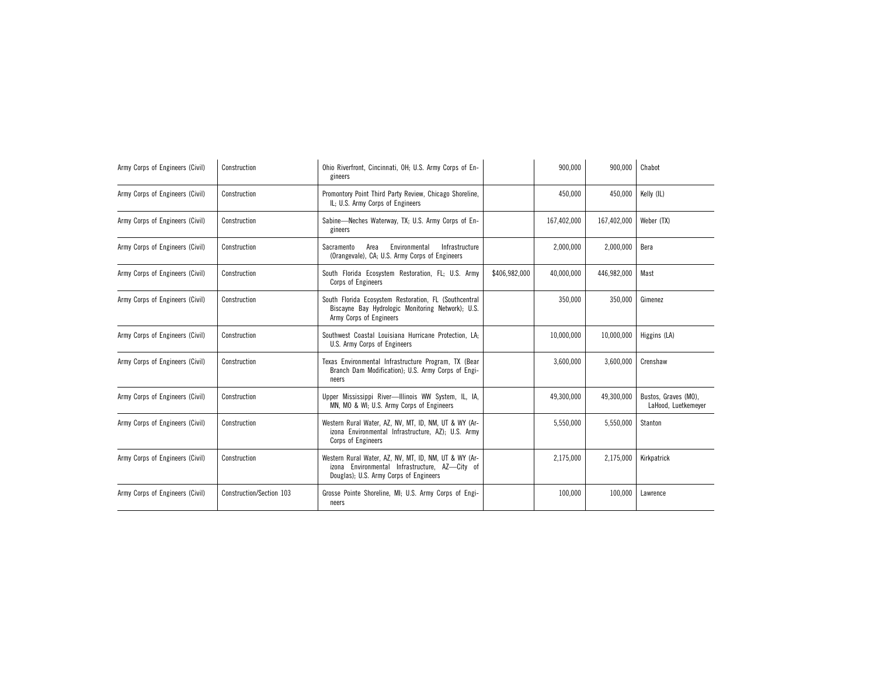| Army Corps of Engineers (Civil) | Construction             | Ohio Riverfront, Cincinnati, OH; U.S. Army Corps of En-<br>gineers                                                                                |               | 900,000     | 900,000     | Chabot                                      |
|---------------------------------|--------------------------|---------------------------------------------------------------------------------------------------------------------------------------------------|---------------|-------------|-------------|---------------------------------------------|
| Army Corps of Engineers (Civil) | Construction             | Promontory Point Third Party Review, Chicago Shoreline,<br>IL; U.S. Army Corps of Engineers                                                       |               | 450,000     | 450,000     | Kelly (IL)                                  |
| Army Corps of Engineers (Civil) | Construction             | Sabine-Neches Waterway, TX; U.S. Army Corps of En-<br>gineers                                                                                     |               | 167,402,000 | 167,402,000 | Weber (TX)                                  |
| Army Corps of Engineers (Civil) | Construction             | Environmental<br>Sacramento<br>Area<br>Infrastructure<br>(Orangevale), CA; U.S. Army Corps of Engineers                                           |               | 2,000,000   | 2,000,000   | Bera                                        |
| Army Corps of Engineers (Civil) | Construction             | South Florida Ecosystem Restoration, FL; U.S. Army<br>Corps of Engineers                                                                          | \$406,982,000 | 40,000,000  | 446,982,000 | Mast                                        |
| Army Corps of Engineers (Civil) | Construction             | South Florida Ecosystem Restoration, FL (Southcentral<br>Biscayne Bay Hydrologic Monitoring Network); U.S.<br>Army Corps of Engineers             |               | 350,000     | 350,000     | Gimenez                                     |
| Army Corps of Engineers (Civil) | Construction             | Southwest Coastal Louisiana Hurricane Protection, LA;<br>U.S. Army Corps of Engineers                                                             |               | 10,000,000  | 10,000,000  | Higgins (LA)                                |
| Army Corps of Engineers (Civil) | Construction             | Texas Environmental Infrastructure Program, TX (Bear<br>Branch Dam Modification); U.S. Army Corps of Engi-<br>neers                               |               | 3,600,000   | 3,600,000   | Crenshaw                                    |
| Army Corps of Engineers (Civil) | Construction             | Upper Mississippi River-Illinois WW System, IL, IA,<br>MN, MO & WI; U.S. Army Corps of Engineers                                                  |               | 49,300,000  | 49,300,000  | Bustos, Graves (MO),<br>LaHood, Luetkemeyer |
| Army Corps of Engineers (Civil) | Construction             | Western Rural Water, AZ, NV, MT, ID, NM, UT & WY (Ar-<br>izona Environmental Infrastructure, AZ); U.S. Army<br>Corps of Engineers                 |               | 5,550,000   | 5,550,000   | Stanton                                     |
| Army Corps of Engineers (Civil) | Construction             | Western Rural Water, AZ, NV, MT, ID, NM, UT & WY (Ar-<br>izona Environmental Infrastructure, AZ-City of<br>Douglas); U.S. Army Corps of Engineers |               | 2,175,000   | 2,175,000   | Kirkpatrick                                 |
| Army Corps of Engineers (Civil) | Construction/Section 103 | Grosse Pointe Shoreline, MI; U.S. Army Corps of Engi-<br>neers                                                                                    |               | 100,000     | 100,000     | Lawrence                                    |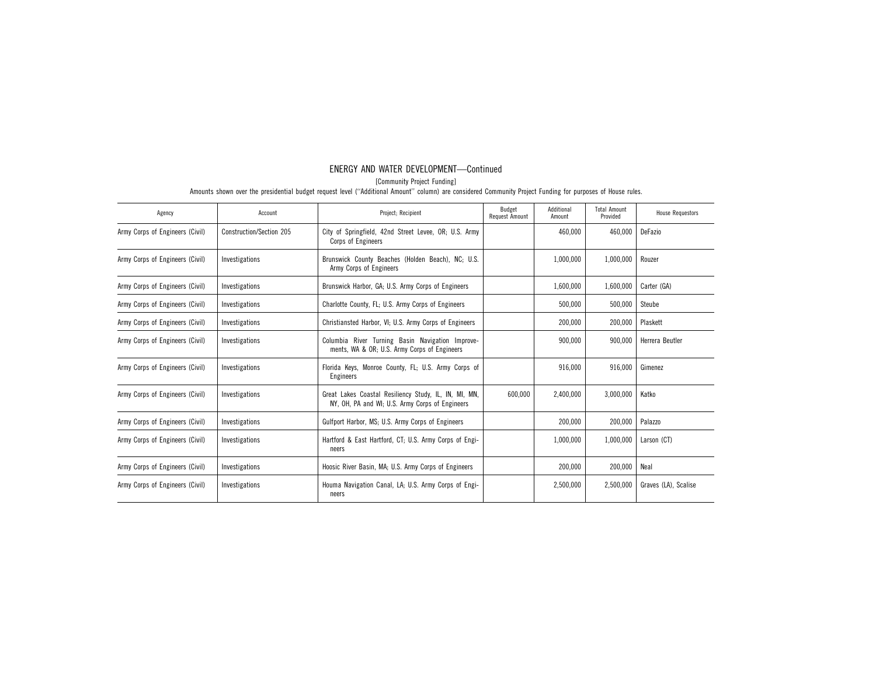[Community Project Funding]

| Agency                          | Account                  | Project; Recipient                                                                                       | Budget<br>Request Amount | Additional<br>Amount | <b>Total Amount</b><br>Provided | <b>House Requestors</b> |
|---------------------------------|--------------------------|----------------------------------------------------------------------------------------------------------|--------------------------|----------------------|---------------------------------|-------------------------|
| Army Corps of Engineers (Civil) | Construction/Section 205 | City of Springfield, 42nd Street Levee, OR; U.S. Army<br>Corps of Engineers                              |                          | 460,000              | 460,000                         | DeFazio                 |
| Army Corps of Engineers (Civil) | Investigations           | Brunswick County Beaches (Holden Beach), NC; U.S.<br>Army Corps of Engineers                             |                          | 1,000,000            | 1,000,000                       | Rouzer                  |
| Army Corps of Engineers (Civil) | Investigations           | Brunswick Harbor, GA; U.S. Army Corps of Engineers                                                       |                          | 1,600,000            | 1,600,000                       | Carter (GA)             |
| Army Corps of Engineers (Civil) | Investigations           | Charlotte County, FL; U.S. Army Corps of Engineers                                                       |                          | 500.000              | 500,000                         | Steube                  |
| Army Corps of Engineers (Civil) | Investigations           | Christiansted Harbor, VI; U.S. Army Corps of Engineers                                                   |                          | 200,000              | 200,000                         | Plaskett                |
| Army Corps of Engineers (Civil) | Investigations           | Columbia River Turning Basin Navigation Improve-<br>ments, WA & OR; U.S. Army Corps of Engineers         |                          | 900,000              | 900,000                         | Herrera Beutler         |
| Army Corps of Engineers (Civil) | Investigations           | Florida Keys, Monroe County, FL; U.S. Army Corps of<br>Engineers                                         |                          | 916,000              | 916,000                         | Gimenez                 |
| Army Corps of Engineers (Civil) | Investigations           | Great Lakes Coastal Resiliency Study, IL, IN, MI, MN,<br>NY, OH, PA and WI; U.S. Army Corps of Engineers | 600,000                  | 2,400,000            | 3,000,000                       | Katko                   |
| Army Corps of Engineers (Civil) | Investigations           | Gulfport Harbor, MS; U.S. Army Corps of Engineers                                                        |                          | 200,000              | 200,000                         | Palazzo                 |
| Army Corps of Engineers (Civil) | Investigations           | Hartford & East Hartford, CT; U.S. Army Corps of Engi-<br>neers                                          |                          | 1,000,000            | 1,000,000                       | Larson (CT)             |
| Army Corps of Engineers (Civil) | Investigations           | Hoosic River Basin, MA; U.S. Army Corps of Engineers                                                     |                          | 200,000              | 200,000                         | Neal                    |
| Army Corps of Engineers (Civil) | Investigations           | Houma Navigation Canal, LA; U.S. Army Corps of Engi-<br>neers                                            |                          | 2,500,000            | 2.500.000                       | Graves (LA), Scalise    |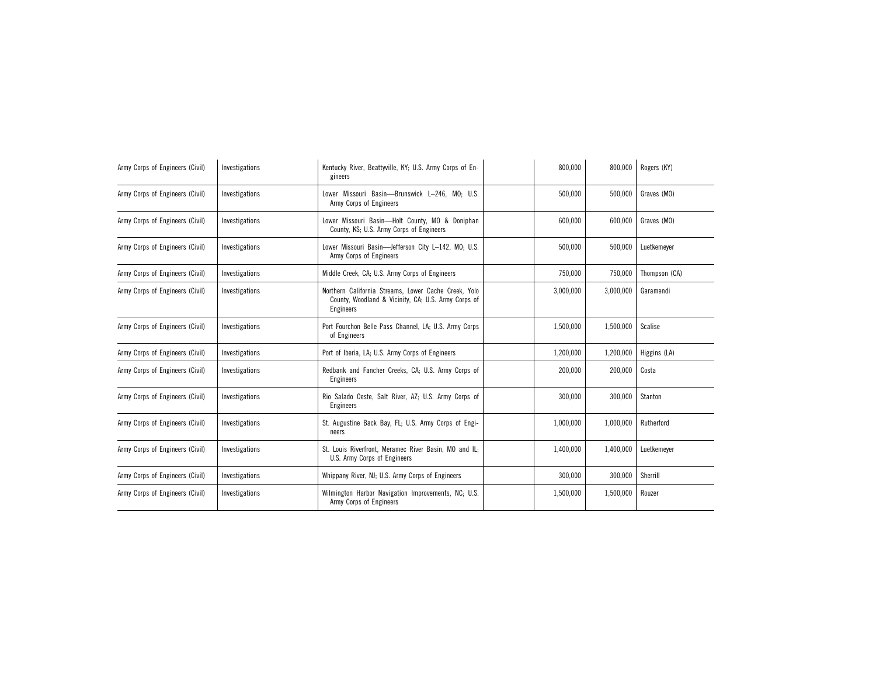| Army Corps of Engineers (Civil) | Investigations | Kentucky River, Beattyville, KY; U.S. Army Corps of En-<br>gineers                                                              | 800.000   | 800.000   | Rogers (KY)   |
|---------------------------------|----------------|---------------------------------------------------------------------------------------------------------------------------------|-----------|-----------|---------------|
| Army Corps of Engineers (Civil) | Investigations | Lower Missouri Basin-Brunswick L-246, MO; U.S.<br>Army Corps of Engineers                                                       | 500,000   | 500,000   | Graves (MO)   |
| Army Corps of Engineers (Civil) | Investigations | Lower Missouri Basin-Holt County, MO & Doniphan<br>County, KS; U.S. Army Corps of Engineers                                     | 600,000   | 600,000   | Graves (MO)   |
| Army Corps of Engineers (Civil) | Investigations | Lower Missouri Basin-Jefferson City L-142, MO; U.S.<br>Army Corps of Engineers                                                  | 500,000   | 500.000   | Luetkemever   |
| Army Corps of Engineers (Civil) | Investigations | Middle Creek, CA; U.S. Army Corps of Engineers                                                                                  | 750,000   | 750,000   | Thompson (CA) |
| Army Corps of Engineers (Civil) | Investigations | Northern California Streams, Lower Cache Creek, Yolo<br>County, Woodland & Vicinity, CA; U.S. Army Corps of<br><b>Engineers</b> | 3,000,000 | 3,000,000 | Garamendi     |
| Army Corps of Engineers (Civil) | Investigations | Port Fourchon Belle Pass Channel, LA; U.S. Army Corps<br>of Engineers                                                           | 1,500,000 | 1,500,000 | Scalise       |
| Army Corps of Engineers (Civil) | Investigations | Port of Iberia, LA; U.S. Army Corps of Engineers                                                                                | 1,200,000 | 1,200,000 | Higgins (LA)  |
| Army Corps of Engineers (Civil) | Investigations | Redbank and Fancher Creeks, CA; U.S. Army Corps of<br>Engineers                                                                 | 200,000   | 200,000   | Costa         |
| Army Corps of Engineers (Civil) | Investigations | Rio Salado Oeste, Salt River, AZ; U.S. Army Corps of<br><b>Engineers</b>                                                        | 300,000   | 300,000   | Stanton       |
| Army Corps of Engineers (Civil) | Investigations | St. Augustine Back Bay, FL; U.S. Army Corps of Engi-<br>neers                                                                   | 1,000,000 | 1,000,000 | Rutherford    |
| Army Corps of Engineers (Civil) | Investigations | St. Louis Riverfront, Meramec River Basin, MO and IL;<br>U.S. Army Corps of Engineers                                           | 1,400,000 | 1,400,000 | Luetkemeyer   |
| Army Corps of Engineers (Civil) | Investigations | Whippany River, NJ; U.S. Army Corps of Engineers                                                                                | 300,000   | 300,000   | Sherrill      |
| Army Corps of Engineers (Civil) | Investigations | Wilmington Harbor Navigation Improvements, NC; U.S.<br>Army Corps of Engineers                                                  | 1,500,000 | 1,500,000 | Rouzer        |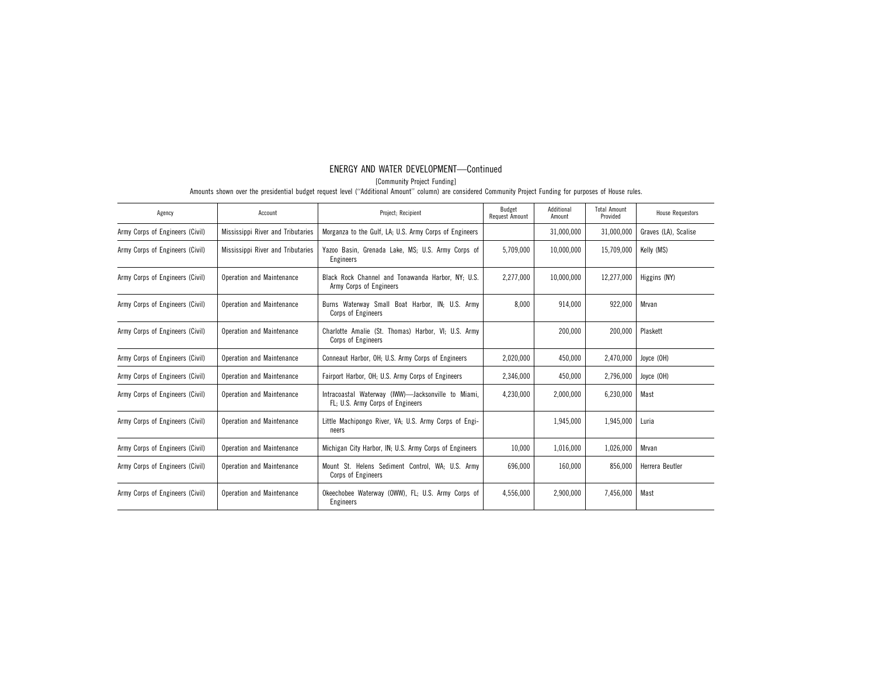[Community Project Funding]

| Agency                          | Account                           | Project; Recipient                                                                     | Budget<br><b>Request Amount</b> | Additional<br>Amount | <b>Total Amount</b><br>Provided | <b>House Requestors</b> |
|---------------------------------|-----------------------------------|----------------------------------------------------------------------------------------|---------------------------------|----------------------|---------------------------------|-------------------------|
| Army Corps of Engineers (Civil) | Mississippi River and Tributaries | Morganza to the Gulf, LA; U.S. Army Corps of Engineers                                 |                                 | 31,000,000           | 31,000,000                      | Graves (LA), Scalise    |
| Army Corps of Engineers (Civil) | Mississippi River and Tributaries | Yazoo Basin, Grenada Lake, MS; U.S. Army Corps of<br>Engineers                         | 5,709,000                       | 10.000.000           | 15.709.000                      | Kelly (MS)              |
| Army Corps of Engineers (Civil) | Operation and Maintenance         | Black Rock Channel and Tonawanda Harbor, NY: U.S.<br>Army Corps of Engineers           | 2,277,000                       | 10,000,000           | 12,277,000                      | Higgins (NY)            |
| Army Corps of Engineers (Civil) | Operation and Maintenance         | Burns Waterway Small Boat Harbor, IN; U.S. Army<br>Corps of Engineers                  | 8.000                           | 914.000              | 922,000                         | Mrvan                   |
| Army Corps of Engineers (Civil) | Operation and Maintenance         | Charlotte Amalie (St. Thomas) Harbor, VI; U.S. Army<br>Corps of Engineers              |                                 | 200.000              | 200,000                         | Plaskett                |
| Army Corps of Engineers (Civil) | Operation and Maintenance         | Conneaut Harbor, OH; U.S. Army Corps of Engineers                                      | 2,020,000                       | 450.000              | 2,470,000                       | Joyce (OH)              |
| Army Corps of Engineers (Civil) | Operation and Maintenance         | Fairport Harbor, OH; U.S. Army Corps of Engineers                                      | 2,346,000                       | 450,000              | 2,796,000                       | Joyce (OH)              |
| Army Corps of Engineers (Civil) | Operation and Maintenance         | Intracoastal Waterway (IWW)-Jacksonville to Miami,<br>FL; U.S. Army Corps of Engineers | 4.230.000                       | 2,000,000            | 6.230.000                       | Mast                    |
| Army Corps of Engineers (Civil) | Operation and Maintenance         | Little Machipongo River, VA; U.S. Army Corps of Engi-<br>neers                         |                                 | 1,945,000            | 1,945,000                       | Luria                   |
| Army Corps of Engineers (Civil) | Operation and Maintenance         | Michigan City Harbor, IN; U.S. Army Corps of Engineers                                 | 10,000                          | 1.016.000            | 1,026,000                       | Mrvan                   |
| Army Corps of Engineers (Civil) | Operation and Maintenance         | Mount St. Helens Sediment Control, WA; U.S. Army<br>Corps of Engineers                 | 696.000                         | 160,000              | 856,000                         | Herrera Beutler         |
| Army Corps of Engineers (Civil) | Operation and Maintenance         | Okeechobee Waterway (OWW), FL: U.S. Army Corps of<br>Engineers                         | 4.556.000                       | 2.900.000            | 7.456.000                       | Mast                    |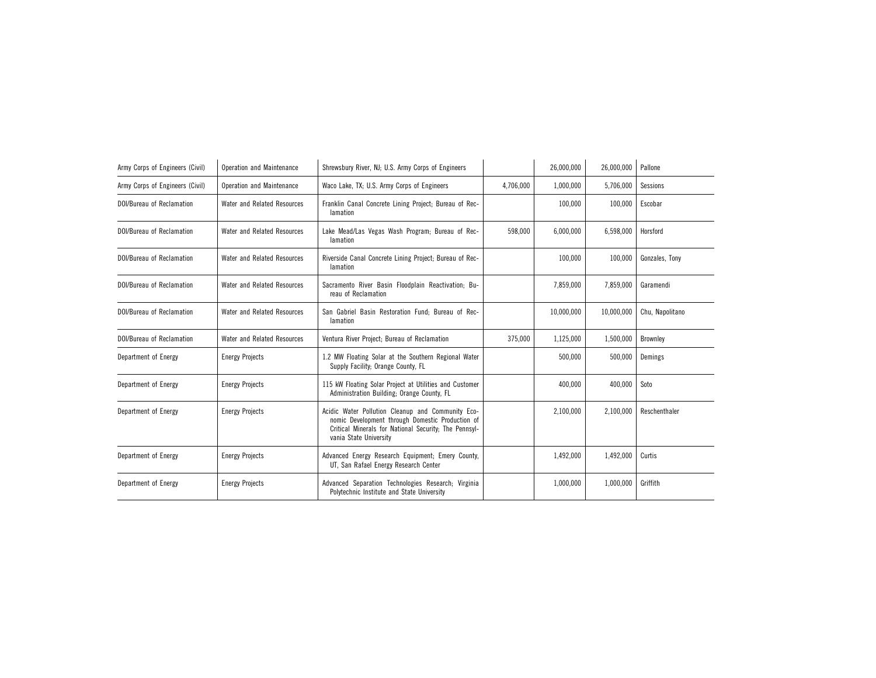| Army Corps of Engineers (Civil)  | Operation and Maintenance   | Shrewsbury River, NJ; U.S. Army Corps of Engineers                                                                                                                                       |           | 26,000,000 | 26,000,000 | Pallone         |
|----------------------------------|-----------------------------|------------------------------------------------------------------------------------------------------------------------------------------------------------------------------------------|-----------|------------|------------|-----------------|
| Army Corps of Engineers (Civil)  | Operation and Maintenance   | Waco Lake, TX; U.S. Army Corps of Engineers                                                                                                                                              | 4,706,000 | 1,000,000  | 5,706,000  | Sessions        |
| DOI/Bureau of Reclamation        | Water and Related Resources | Franklin Canal Concrete Lining Project; Bureau of Rec-<br>lamation                                                                                                                       |           | 100.000    | 100,000    | Escobar         |
| DOI/Bureau of Reclamation        | Water and Related Resources | Lake Mead/Las Vegas Wash Program; Bureau of Rec-<br>lamation                                                                                                                             | 598.000   | 6.000.000  | 6,598,000  | Horsford        |
| <b>DOI/Bureau of Reclamation</b> | Water and Related Resources | Riverside Canal Concrete Lining Project; Bureau of Rec-<br>lamation                                                                                                                      |           | 100.000    | 100,000    | Gonzales, Tony  |
| DOI/Bureau of Reclamation        | Water and Related Resources | Sacramento River Basin Floodplain Reactivation; Bu-<br>reau of Reclamation                                                                                                               |           | 7,859,000  | 7,859,000  | Garamendi       |
| DOI/Bureau of Reclamation        | Water and Related Resources | San Gabriel Basin Restoration Fund; Bureau of Rec-<br>lamation                                                                                                                           |           | 10,000,000 | 10,000,000 | Chu, Napolitano |
| <b>DOI/Bureau of Reclamation</b> | Water and Related Resources | Ventura River Project; Bureau of Reclamation                                                                                                                                             | 375,000   | 1,125,000  | 1,500,000  | Brownley        |
| Department of Energy             | <b>Energy Projects</b>      | 1.2 MW Floating Solar at the Southern Regional Water<br>Supply Facility; Orange County, FL                                                                                               |           | 500.000    | 500,000    | Demings         |
| Department of Energy             | <b>Energy Projects</b>      | 115 kW Floating Solar Project at Utilities and Customer<br>Administration Building; Orange County, FL                                                                                    |           | 400.000    | 400,000    | Soto            |
| Department of Energy             | <b>Energy Projects</b>      | Acidic Water Pollution Cleanup and Community Eco-<br>nomic Development through Domestic Production of<br>Critical Minerals for National Security; The Pennsyl-<br>vania State University |           | 2,100,000  | 2,100,000  | Reschenthaler   |
| Department of Energy             | <b>Energy Projects</b>      | Advanced Energy Research Equipment; Emery County,<br>UT, San Rafael Energy Research Center                                                                                               |           | 1,492,000  | 1,492,000  | Curtis          |
| Department of Energy             | <b>Energy Projects</b>      | Advanced Separation Technologies Research; Virginia<br>Polytechnic Institute and State University                                                                                        |           | 1,000,000  | 1,000,000  | Griffith        |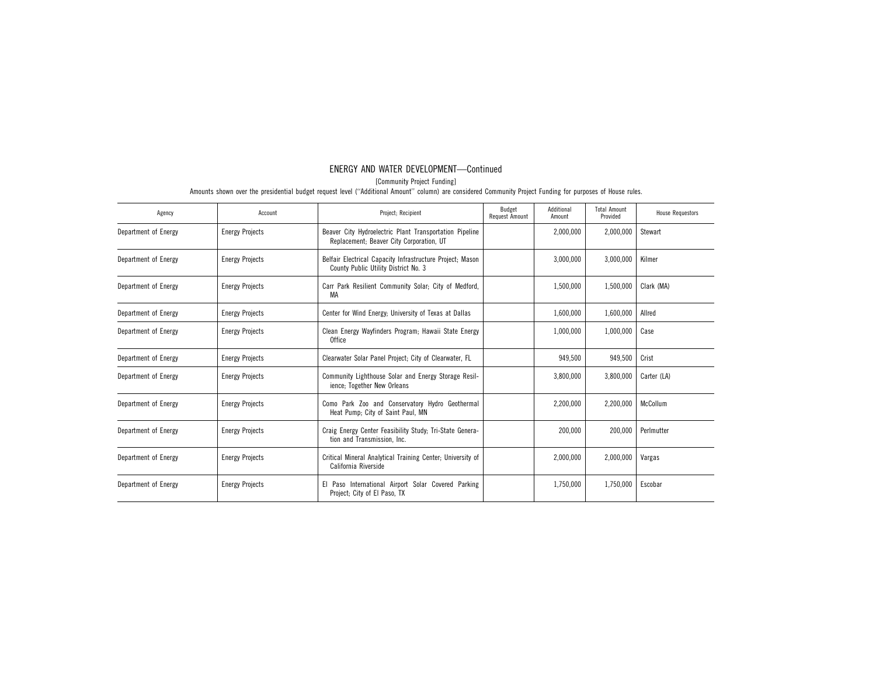[Community Project Funding]

| Agency               | Account                | Project; Recipient                                                                                  | Budget<br>Request Amount | Additional<br>Amount | <b>Total Amount</b><br>Provided | <b>House Requestors</b> |
|----------------------|------------------------|-----------------------------------------------------------------------------------------------------|--------------------------|----------------------|---------------------------------|-------------------------|
| Department of Energy | <b>Energy Projects</b> | Beaver City Hydroelectric Plant Transportation Pipeline<br>Replacement; Beaver City Corporation, UT |                          | 2,000,000            | 2,000,000                       | Stewart                 |
| Department of Energy | <b>Energy Projects</b> | Belfair Electrical Capacity Infrastructure Project; Mason<br>County Public Utility District No. 3   |                          | 3,000,000            | 3,000,000                       | Kilmer                  |
| Department of Energy | <b>Energy Projects</b> | Carr Park Resilient Community Solar; City of Medford,<br>МA                                         |                          | 1,500,000            | 1,500,000                       | Clark (MA)              |
| Department of Energy | <b>Energy Projects</b> | Center for Wind Energy; University of Texas at Dallas                                               |                          | 1,600,000            | 1,600,000                       | Allred                  |
| Department of Energy | <b>Energy Projects</b> | Clean Energy Wayfinders Program; Hawaii State Energy<br><b>Office</b>                               |                          | 1,000,000            | 1,000,000                       | Case                    |
| Department of Energy | <b>Energy Projects</b> | Clearwater Solar Panel Project; City of Clearwater, FL                                              |                          | 949,500              | 949.500                         | Crist                   |
| Department of Energy | <b>Energy Projects</b> | Community Lighthouse Solar and Energy Storage Resil-<br>ience; Together New Orleans                 |                          | 3,800,000            | 3,800,000                       | Carter (LA)             |
| Department of Energy | <b>Energy Projects</b> | Como Park Zoo and Conservatory Hydro Geothermal<br>Heat Pump; City of Saint Paul, MN                |                          | 2,200,000            | 2,200,000                       | McCollum                |
| Department of Energy | <b>Energy Projects</b> | Craig Energy Center Feasibility Study; Tri-State Genera-<br>tion and Transmission, Inc.             |                          | 200,000              | 200,000                         | Perlmutter              |
| Department of Energy | <b>Energy Projects</b> | Critical Mineral Analytical Training Center; University of<br>California Riverside                  |                          | 2,000,000            | 2,000,000                       | Vargas                  |
| Department of Energy | <b>Energy Projects</b> | El Paso International Airport Solar Covered Parking<br>Project; City of El Paso, TX                 |                          | 1,750,000            | 1,750,000                       | Escobar                 |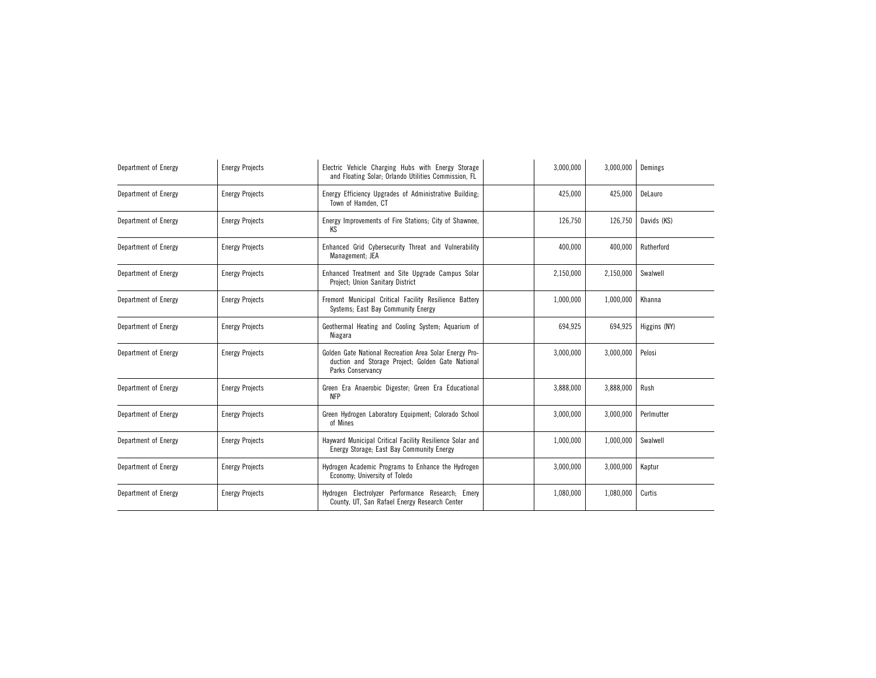| Department of Energy | <b>Energy Projects</b> | Electric Vehicle Charging Hubs with Energy Storage<br>and Floating Solar; Orlando Utilities Commission, FL                       | 3,000,000 | 3,000,000 | Demings      |
|----------------------|------------------------|----------------------------------------------------------------------------------------------------------------------------------|-----------|-----------|--------------|
| Department of Energy | <b>Energy Projects</b> | Energy Efficiency Upgrades of Administrative Building;<br>Town of Hamden, CT                                                     | 425,000   | 425,000   | DeLauro      |
| Department of Energy | <b>Energy Projects</b> | Energy Improvements of Fire Stations; City of Shawnee,<br>KS                                                                     | 126,750   | 126,750   | Davids (KS)  |
| Department of Energy | <b>Energy Projects</b> | Enhanced Grid Cybersecurity Threat and Vulnerability<br>Management; JEA                                                          | 400,000   | 400,000   | Rutherford   |
| Department of Energy | <b>Energy Projects</b> | Enhanced Treatment and Site Upgrade Campus Solar<br>Project; Union Sanitary District                                             | 2,150,000 | 2,150,000 | Swalwell     |
| Department of Energy | <b>Energy Projects</b> | Fremont Municipal Critical Facility Resilience Battery<br>Systems: East Bay Community Energy                                     | 1,000,000 | 1,000,000 | Khanna       |
| Department of Energy | <b>Energy Projects</b> | Geothermal Heating and Cooling System; Aquarium of<br>Niagara                                                                    | 694,925   | 694,925   | Higgins (NY) |
| Department of Energy | <b>Energy Projects</b> | Golden Gate National Recreation Area Solar Energy Pro-<br>duction and Storage Project; Golden Gate National<br>Parks Conservancy | 3,000,000 | 3,000,000 | Pelosi       |
| Department of Energy | <b>Energy Projects</b> | Green Era Anaerobic Digester; Green Era Educational<br><b>NFP</b>                                                                | 3,888,000 | 3,888,000 | Rush         |
| Department of Energy | <b>Energy Projects</b> | Green Hydrogen Laboratory Equipment; Colorado School<br>of Mines                                                                 | 3,000,000 | 3,000,000 | Perlmutter   |
| Department of Energy | <b>Energy Projects</b> | Hayward Municipal Critical Facility Resilience Solar and<br>Energy Storage; East Bay Community Energy                            | 1,000,000 | 1,000,000 | Swalwell     |
| Department of Energy | <b>Energy Projects</b> | Hydrogen Academic Programs to Enhance the Hydrogen<br>Economy; University of Toledo                                              | 3,000,000 | 3,000,000 | Kaptur       |
| Department of Energy | <b>Energy Projects</b> | Hydrogen Electrolyzer Performance Research; Emery<br>County, UT, San Rafael Energy Research Center                               | 1,080,000 | 1,080,000 | Curtis       |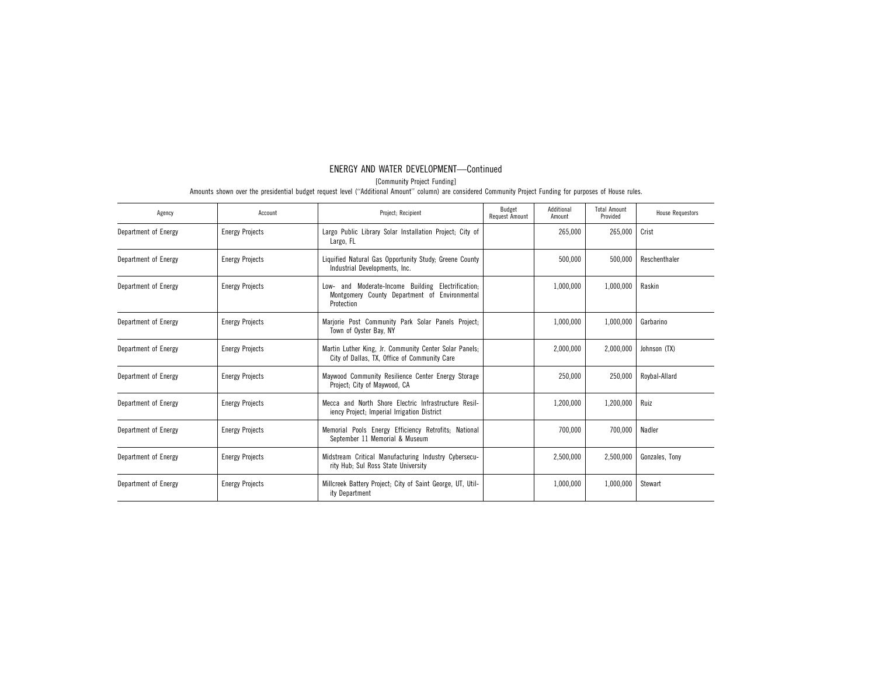[Community Project Funding]

| Agency               | Account                | Project; Recipient                                                                                                | Budget<br>Request Amount | Additional<br>Amount | <b>Total Amount</b><br>Provided | <b>House Requestors</b> |
|----------------------|------------------------|-------------------------------------------------------------------------------------------------------------------|--------------------------|----------------------|---------------------------------|-------------------------|
| Department of Energy | <b>Energy Projects</b> | Largo Public Library Solar Installation Project; City of<br>Largo, FL                                             |                          | 265,000              | 265,000                         | Crist                   |
| Department of Energy | <b>Energy Projects</b> | Liquified Natural Gas Opportunity Study; Greene County<br>Industrial Developments, Inc.                           |                          | 500.000              | 500.000                         | Reschenthaler           |
| Department of Energy | <b>Energy Projects</b> | Low- and Moderate-Income Building Electrification;<br>Montgomery County Department of Environmental<br>Protection |                          | 1,000,000            | 1,000,000                       | Raskin                  |
| Department of Energy | <b>Energy Projects</b> | Marjorie Post Community Park Solar Panels Project;<br>Town of Oyster Bay, NY                                      |                          | 1,000,000            | 1,000,000                       | Garbarino               |
| Department of Energy | <b>Energy Projects</b> | Martin Luther King, Jr. Community Center Solar Panels;<br>City of Dallas, TX, Office of Community Care            |                          | 2,000,000            | 2,000,000                       | Johnson (TX)            |
| Department of Energy | <b>Energy Projects</b> | Maywood Community Resilience Center Energy Storage<br>Project; City of Maywood, CA                                |                          | 250,000              | 250,000                         | Roybal-Allard           |
| Department of Energy | <b>Energy Projects</b> | Mecca and North Shore Electric Infrastructure Resil-<br>iency Project; Imperial Irrigation District               |                          | 1,200,000            | 1,200,000                       | Ruiz                    |
| Department of Energy | <b>Energy Projects</b> | Memorial Pools Energy Efficiency Retrofits; National<br>September 11 Memorial & Museum                            |                          | 700,000              | 700,000                         | Nadler                  |
| Department of Energy | <b>Energy Projects</b> | Midstream Critical Manufacturing Industry Cybersecu-<br>rity Hub; Sul Ross State University                       |                          | 2,500,000            | 2,500,000                       | Gonzales, Tony          |
| Department of Energy | <b>Energy Projects</b> | Millcreek Battery Project; City of Saint George, UT, Util-<br>ity Department                                      |                          | 1,000,000            | 1,000,000                       | Stewart                 |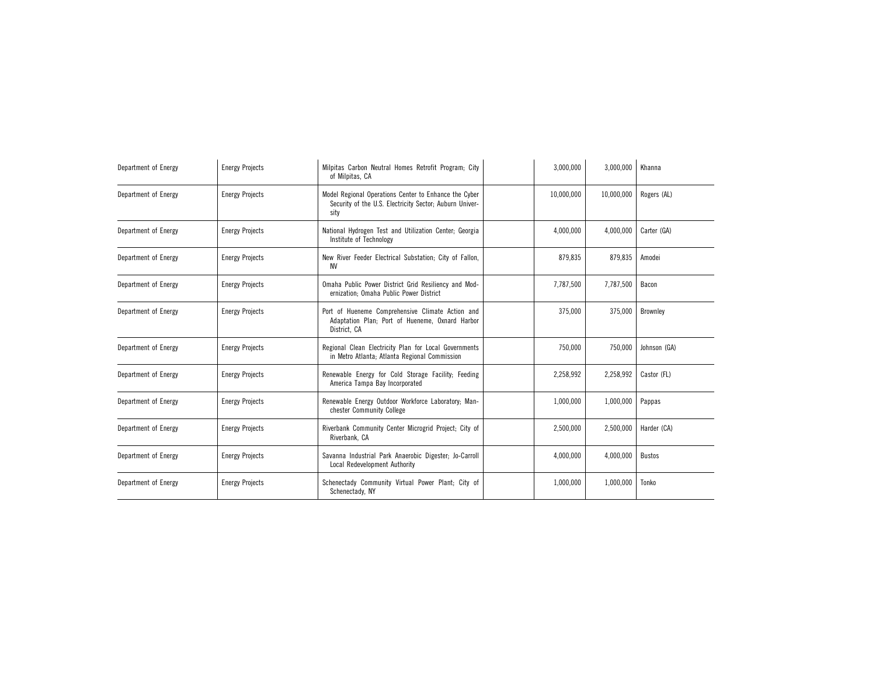| Department of Energy | <b>Energy Projects</b> | Milpitas Carbon Neutral Homes Retrofit Program; City<br>of Milpitas, CA                                                  | 3,000,000  | 3,000,000  | Khanna          |
|----------------------|------------------------|--------------------------------------------------------------------------------------------------------------------------|------------|------------|-----------------|
| Department of Energy | <b>Energy Projects</b> | Model Regional Operations Center to Enhance the Cyber<br>Security of the U.S. Electricity Sector; Auburn Univer-<br>sity | 10.000.000 | 10.000.000 | Rogers (AL)     |
| Department of Energy | <b>Energy Projects</b> | National Hydrogen Test and Utilization Center; Georgia<br>Institute of Technology                                        | 4,000,000  | 4,000,000  | Carter (GA)     |
| Department of Energy | <b>Energy Projects</b> | New River Feeder Electrical Substation; City of Fallon,<br>ΝV                                                            | 879,835    | 879,835    | Amodei          |
| Department of Energy | <b>Energy Projects</b> | Omaha Public Power District Grid Resiliency and Mod-<br>ernization; Omaha Public Power District                          | 7.787.500  | 7,787,500  | Bacon           |
| Department of Energy | <b>Energy Projects</b> | Port of Hueneme Comprehensive Climate Action and<br>Adaptation Plan; Port of Hueneme, Oxnard Harbor<br>District, CA      | 375.000    | 375,000    | <b>Brownley</b> |
| Department of Energy | <b>Energy Projects</b> | Regional Clean Electricity Plan for Local Governments<br>in Metro Atlanta; Atlanta Regional Commission                   | 750,000    | 750,000    | Johnson (GA)    |
| Department of Energy | <b>Energy Projects</b> | Renewable Energy for Cold Storage Facility; Feeding<br>America Tampa Bay Incorporated                                    | 2,258,992  | 2,258,992  | Castor (FL)     |
| Department of Energy | <b>Energy Projects</b> | Renewable Energy Outdoor Workforce Laboratory; Man-<br>chester Community College                                         | 1,000,000  | 1,000,000  | Pappas          |
| Department of Energy | <b>Energy Projects</b> | Riverbank Community Center Microgrid Project; City of<br>Riverbank, CA                                                   | 2,500,000  | 2,500,000  | Harder (CA)     |
| Department of Energy | <b>Energy Projects</b> | Savanna Industrial Park Anaerobic Digester; Jo-Carroll<br>Local Redevelopment Authority                                  | 4,000,000  | 4,000,000  | <b>Bustos</b>   |
| Department of Energy | <b>Energy Projects</b> | Schenectady Community Virtual Power Plant; City of<br>Schenectady, NY                                                    | 1,000,000  | 1,000,000  | Tonko           |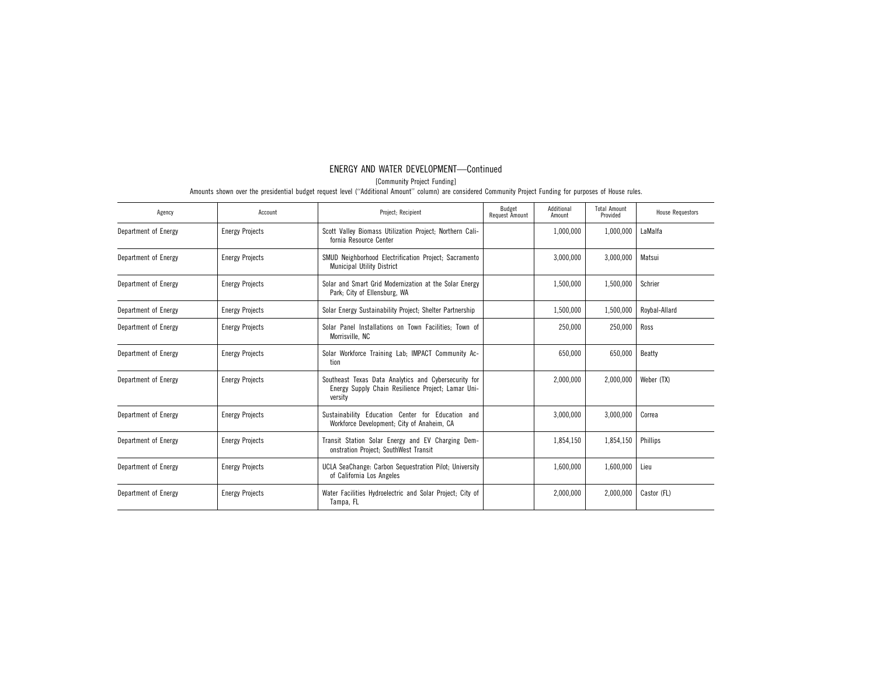[Community Project Funding]

| Agency               | Account                | Project; Recipient                                                                                                    | Budget<br><b>Request Amount</b> | Additional<br>Amount | <b>Total Amount</b><br>Provided | <b>House Requestors</b> |
|----------------------|------------------------|-----------------------------------------------------------------------------------------------------------------------|---------------------------------|----------------------|---------------------------------|-------------------------|
| Department of Energy | <b>Energy Projects</b> | Scott Valley Biomass Utilization Project; Northern Cali-<br>fornia Resource Center                                    |                                 | 1,000,000            | 1,000,000                       | LaMalfa                 |
| Department of Energy | <b>Energy Projects</b> | SMUD Neighborhood Electrification Project; Sacramento<br><b>Municipal Utility District</b>                            |                                 | 3,000,000            | 3,000,000                       | Matsui                  |
| Department of Energy | <b>Energy Projects</b> | Solar and Smart Grid Modernization at the Solar Energy<br>Park; City of Ellensburg, WA                                |                                 | 1,500,000            | 1,500,000                       | Schrier                 |
| Department of Energy | <b>Energy Projects</b> | Solar Energy Sustainability Project; Shelter Partnership                                                              |                                 | 1,500,000            | 1,500,000                       | Roybal-Allard           |
| Department of Energy | <b>Energy Projects</b> | Solar Panel Installations on Town Facilities; Town of<br>Morrisville, NC                                              |                                 | 250,000              | 250,000                         | Ross                    |
| Department of Energy | <b>Energy Projects</b> | Solar Workforce Training Lab; IMPACT Community Ac-<br>tion                                                            |                                 | 650,000              | 650,000                         | Beatty                  |
| Department of Energy | <b>Energy Projects</b> | Southeast Texas Data Analytics and Cybersecurity for<br>Energy Supply Chain Resilience Project; Lamar Uni-<br>versity |                                 | 2,000,000            | 2,000,000                       | Weber (TX)              |
| Department of Energy | <b>Energy Projects</b> | Sustainability Education Center for Education and<br>Workforce Development; City of Anaheim, CA                       |                                 | 3,000,000            | 3,000,000                       | Correa                  |
| Department of Energy | <b>Energy Projects</b> | Transit Station Solar Energy and EV Charging Dem-<br>onstration Project; SouthWest Transit                            |                                 | 1,854,150            | 1,854,150                       | Phillips                |
| Department of Energy | <b>Energy Projects</b> | UCLA SeaChange: Carbon Sequestration Pilot; University<br>of California Los Angeles                                   |                                 | 1,600,000            | 1,600,000                       | Lieu                    |
| Department of Energy | <b>Energy Projects</b> | Water Facilities Hydroelectric and Solar Project; City of<br>Tampa, FL                                                |                                 | 2,000,000            | 2,000,000                       | Castor (FL)             |